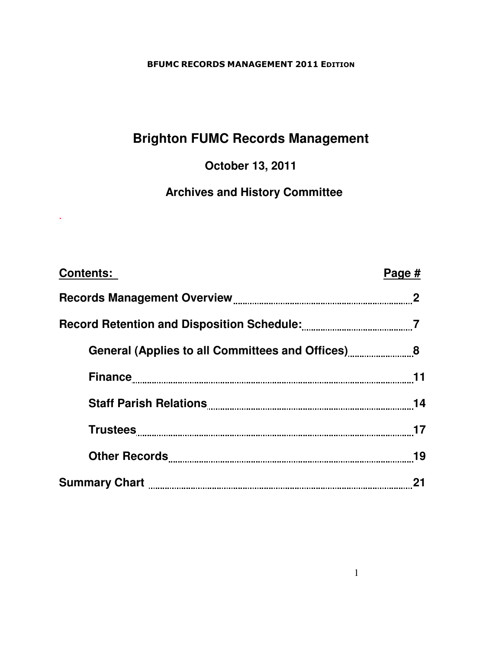# **Brighton FUMC Records Management**

**October 13, 2011** 

 **Archives and History Committee**

.

| <b>Contents:</b>                                   | Page # |
|----------------------------------------------------|--------|
|                                                    |        |
|                                                    |        |
| General (Applies to all Committees and Offices) 68 |        |
|                                                    |        |
|                                                    |        |
|                                                    |        |
|                                                    | 19     |
|                                                    |        |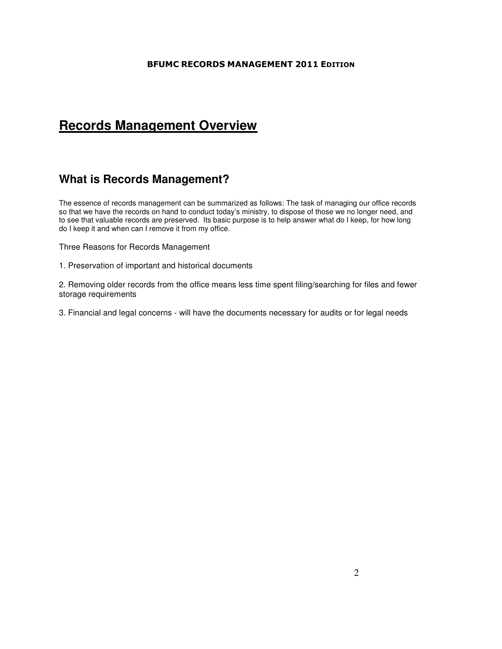## **Records Management Overview**

## **What is Records Management?**

The essence of records management can be summarized as follows: The task of managing our office records so that we have the records on hand to conduct today's ministry, to dispose of those we no longer need, and to see that valuable records are preserved. Its basic purpose is to help answer what do I keep, for how long do I keep it and when can I remove it from my office.

Three Reasons for Records Management

1. Preservation of important and historical documents

2. Removing older records from the office means less time spent filing/searching for files and fewer storage requirements

3. Financial and legal concerns - will have the documents necessary for audits or for legal needs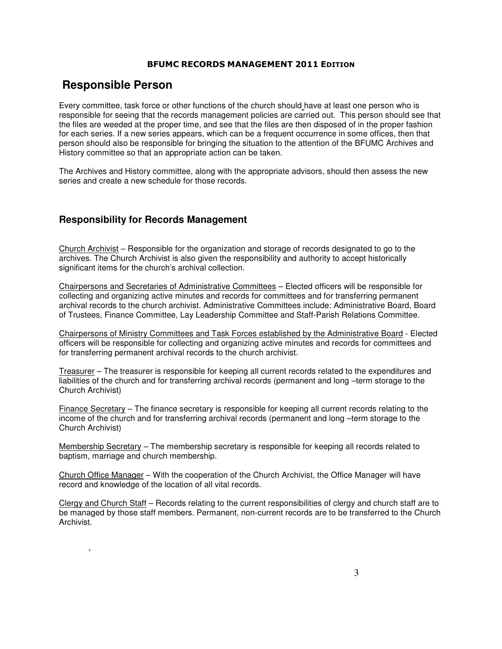## **Responsible Person**

.

Every committee, task force or other functions of the church should have at least one person who is responsible for seeing that the records management policies are carried out. This person should see that the files are weeded at the proper time, and see that the files are then disposed of in the proper fashion for each series. If a new series appears, which can be a frequent occurrence in some offices, then that person should also be responsible for bringing the situation to the attention of the BFUMC Archives and History committee so that an appropriate action can be taken.

The Archives and History committee, along with the appropriate advisors, should then assess the new series and create a new schedule for those records.

## **Responsibility for Records Management**

Church Archivist – Responsible for the organization and storage of records designated to go to the archives. The Church Archivist is also given the responsibility and authority to accept historically significant items for the church's archival collection.

Chairpersons and Secretaries of Administrative Committees – Elected officers will be responsible for collecting and organizing active minutes and records for committees and for transferring permanent archival records to the church archivist. Administrative Committees include: Administrative Board, Board of Trustees, Finance Committee, Lay Leadership Committee and Staff-Parish Relations Committee.

Chairpersons of Ministry Committees and Task Forces established by the Administrative Board - Elected officers will be responsible for collecting and organizing active minutes and records for committees and for transferring permanent archival records to the church archivist.

Treasurer – The treasurer is responsible for keeping all current records related to the expenditures and liabilities of the church and for transferring archival records (permanent and long –term storage to the Church Archivist)

Finance Secretary – The finance secretary is responsible for keeping all current records relating to the income of the church and for transferring archival records (permanent and long –term storage to the Church Archivist)

Membership Secretary - The membership secretary is responsible for keeping all records related to baptism, marriage and church membership.

Church Office Manager – With the cooperation of the Church Archivist, the Office Manager will have record and knowledge of the location of all vital records.

Clergy and Church Staff – Records relating to the current responsibilities of clergy and church staff are to be managed by those staff members. Permanent, non-current records are to be transferred to the Church Archivist.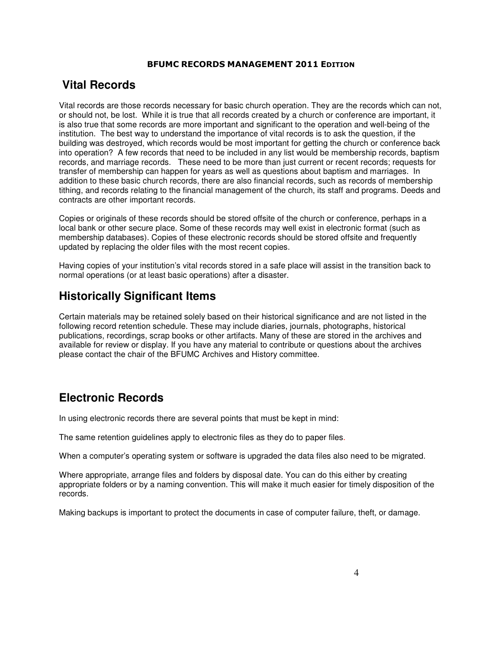## **Vital Records**

Vital records are those records necessary for basic church operation. They are the records which can not, or should not, be lost. While it is true that all records created by a church or conference are important, it is also true that some records are more important and significant to the operation and well-being of the institution. The best way to understand the importance of vital records is to ask the question, if the building was destroyed, which records would be most important for getting the church or conference back into operation? A few records that need to be included in any list would be membership records, baptism records, and marriage records. These need to be more than just current or recent records; requests for transfer of membership can happen for years as well as questions about baptism and marriages. In addition to these basic church records, there are also financial records, such as records of membership tithing, and records relating to the financial management of the church, its staff and programs. Deeds and contracts are other important records.

Copies or originals of these records should be stored offsite of the church or conference, perhaps in a local bank or other secure place. Some of these records may well exist in electronic format (such as membership databases). Copies of these electronic records should be stored offsite and frequently updated by replacing the older files with the most recent copies.

Having copies of your institution's vital records stored in a safe place will assist in the transition back to normal operations (or at least basic operations) after a disaster.

## **Historically Significant Items**

Certain materials may be retained solely based on their historical significance and are not listed in the following record retention schedule. These may include diaries, journals, photographs, historical publications, recordings, scrap books or other artifacts. Many of these are stored in the archives and available for review or display. If you have any material to contribute or questions about the archives please contact the chair of the BFUMC Archives and History committee.

## **Electronic Records**

In using electronic records there are several points that must be kept in mind:

The same retention guidelines apply to electronic files as they do to paper files.

When a computer's operating system or software is upgraded the data files also need to be migrated.

Where appropriate, arrange files and folders by disposal date. You can do this either by creating appropriate folders or by a naming convention. This will make it much easier for timely disposition of the records.

Making backups is important to protect the documents in case of computer failure, theft, or damage.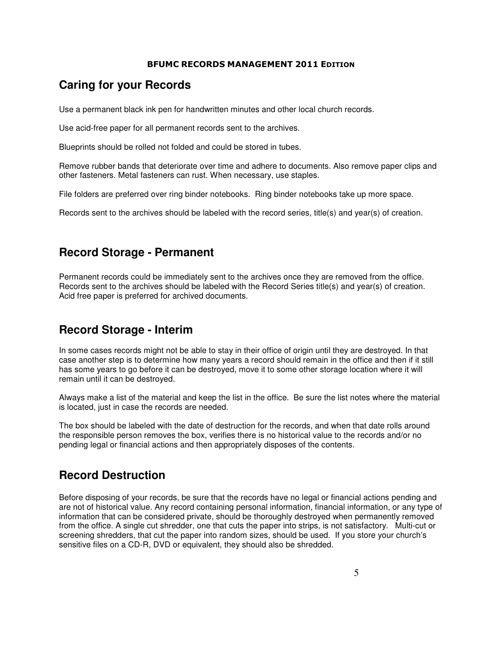## **Caring for your Records**

Use a permanent black ink pen for handwritten minutes and other local church records.

Use acid-free paper for all permanent records sent to the archives.

Blueprints should be rolled not folded and could be stored in tubes.

Remove rubber bands that deteriorate over time and adhere to documents. Also remove paper clips and other fasteners. Metal fasteners can rust. When necessary, use staples.

File folders are preferred over ring binder notebooks. Ring binder notebooks take up more space.

Records sent to the archives should be labeled with the record series, title(s) and year(s) of creation.

## **Record Storage - Permanent**

Permanent records could be immediately sent to the archives once they are removed from the office. Records sent to the archives should be labeled with the Record Series title(s) and year(s) of creation. Acid free paper is preferred for archived documents.

## **Record Storage - Interim**

In some cases records might not be able to stay in their office of origin until they are destroyed. In that case another step is to determine how many years a record should remain in the office and then if it still has some years to go before it can be destroyed, move it to some other storage location where it will remain until it can be destroyed.

Always make a list of the material and keep the list in the office. Be sure the list notes where the material is located, just in case the records are needed.

The box should be labeled with the date of destruction for the records, and when that date rolls around the responsible person removes the box, verifies there is no historical value to the records and/or no pending legal or financial actions and then appropriately disposes of the contents.

## **Record Destruction**

Before disposing of your records, be sure that the records have no legal or financial actions pending and are not of historical value. Any record containing personal information, financial information, or any type of information that can be considered private, should be thoroughly destroyed when permanently removed from the office. A single cut shredder, one that cuts the paper into strips, is not satisfactory. Multi-cut or screening shredders, that cut the paper into random sizes, should be used. If you store your church's sensitive files on a CD-R, DVD or equivalent, they should also be shredded.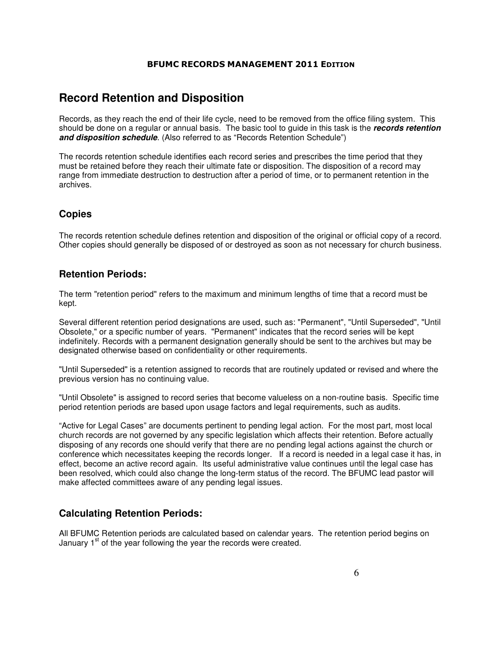## **Record Retention and Disposition**

Records, as they reach the end of their life cycle, need to be removed from the office filing system. This should be done on a regular or annual basis. The basic tool to guide in this task is the **records retention and disposition schedule**. (Also referred to as "Records Retention Schedule")

The records retention schedule identifies each record series and prescribes the time period that they must be retained before they reach their ultimate fate or disposition. The disposition of a record may range from immediate destruction to destruction after a period of time, or to permanent retention in the archives.

## **Copies**

The records retention schedule defines retention and disposition of the original or official copy of a record. Other copies should generally be disposed of or destroyed as soon as not necessary for church business.

## **Retention Periods:**

The term "retention period" refers to the maximum and minimum lengths of time that a record must be kept.

Several different retention period designations are used, such as: "Permanent", "Until Superseded", "Until Obsolete," or a specific number of years. "Permanent" indicates that the record series will be kept indefinitely. Records with a permanent designation generally should be sent to the archives but may be designated otherwise based on confidentiality or other requirements.

"Until Superseded" is a retention assigned to records that are routinely updated or revised and where the previous version has no continuing value.

"Until Obsolete" is assigned to record series that become valueless on a non-routine basis. Specific time period retention periods are based upon usage factors and legal requirements, such as audits.

"Active for Legal Cases" are documents pertinent to pending legal action. For the most part, most local church records are not governed by any specific legislation which affects their retention. Before actually disposing of any records one should verify that there are no pending legal actions against the church or conference which necessitates keeping the records longer. If a record is needed in a legal case it has, in effect, become an active record again. Its useful administrative value continues until the legal case has been resolved, which could also change the long-term status of the record. The BFUMC lead pastor will make affected committees aware of any pending legal issues.

## **Calculating Retention Periods:**

All BFUMC Retention periods are calculated based on calendar years. The retention period begins on January 1<sup>st</sup> of the year following the year the records were created.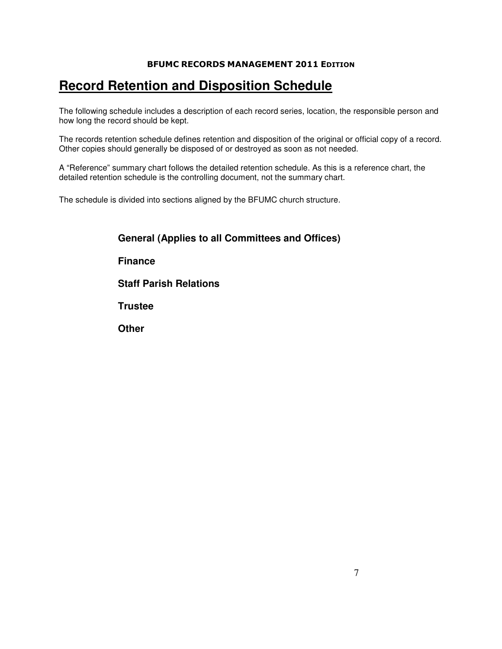## **Record Retention and Disposition Schedule**

The following schedule includes a description of each record series, location, the responsible person and how long the record should be kept.

The records retention schedule defines retention and disposition of the original or official copy of a record. Other copies should generally be disposed of or destroyed as soon as not needed.

A "Reference" summary chart follows the detailed retention schedule. As this is a reference chart, the detailed retention schedule is the controlling document, not the summary chart.

The schedule is divided into sections aligned by the BFUMC church structure.

| <b>General (Applies to all Committees and Offices)</b> |
|--------------------------------------------------------|
| <b>Finance</b>                                         |
| <b>Staff Parish Relations</b>                          |
| <b>Trustee</b>                                         |
| <b>Other</b>                                           |
|                                                        |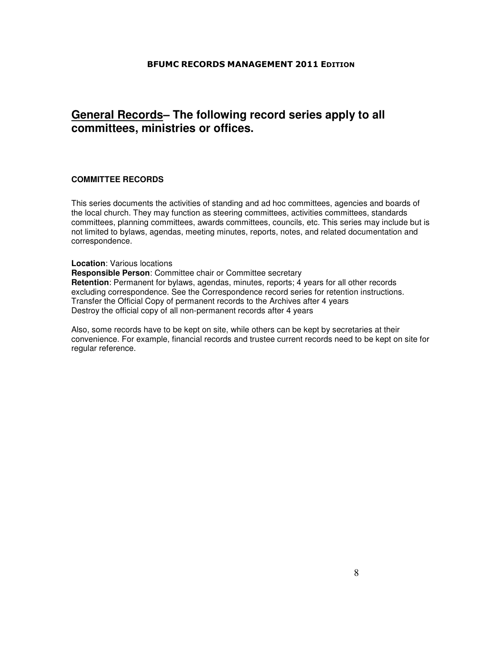## **General Records– The following record series apply to all committees, ministries or offices.**

#### **COMMITTEE RECORDS**

This series documents the activities of standing and ad hoc committees, agencies and boards of the local church. They may function as steering committees, activities committees, standards committees, planning committees, awards committees, councils, etc. This series may include but is not limited to bylaws, agendas, meeting minutes, reports, notes, and related documentation and correspondence.

#### **Location**: Various locations

**Responsible Person**: Committee chair or Committee secretary **Retention**: Permanent for bylaws, agendas, minutes, reports; 4 years for all other records excluding correspondence. See the Correspondence record series for retention instructions. Transfer the Official Copy of permanent records to the Archives after 4 years Destroy the official copy of all non-permanent records after 4 years

Also, some records have to be kept on site, while others can be kept by secretaries at their convenience. For example, financial records and trustee current records need to be kept on site for regular reference.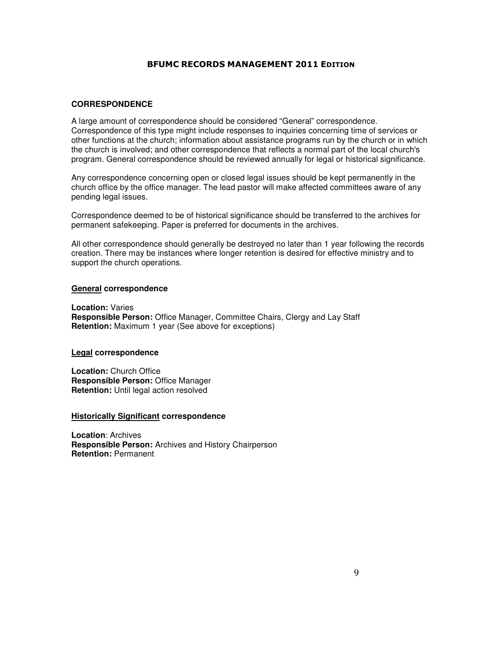### **CORRESPONDENCE**

A large amount of correspondence should be considered "General" correspondence. Correspondence of this type might include responses to inquiries concerning time of services or other functions at the church; information about assistance programs run by the church or in which the church is involved; and other correspondence that reflects a normal part of the local church's program. General correspondence should be reviewed annually for legal or historical significance.

Any correspondence concerning open or closed legal issues should be kept permanently in the church office by the office manager. The lead pastor will make affected committees aware of any pending legal issues.

Correspondence deemed to be of historical significance should be transferred to the archives for permanent safekeeping. Paper is preferred for documents in the archives.

All other correspondence should generally be destroyed no later than 1 year following the records creation. There may be instances where longer retention is desired for effective ministry and to support the church operations.

#### **General correspondence**

**Location:** Varies **Responsible Person:** Office Manager, Committee Chairs, Clergy and Lay Staff **Retention:** Maximum 1 year (See above for exceptions)

#### **Legal correspondence**

**Location:** Church Office **Responsible Person:** Office Manager **Retention:** Until legal action resolved

#### **Historically Significant correspondence**

**Location**: Archives **Responsible Person:** Archives and History Chairperson **Retention:** Permanent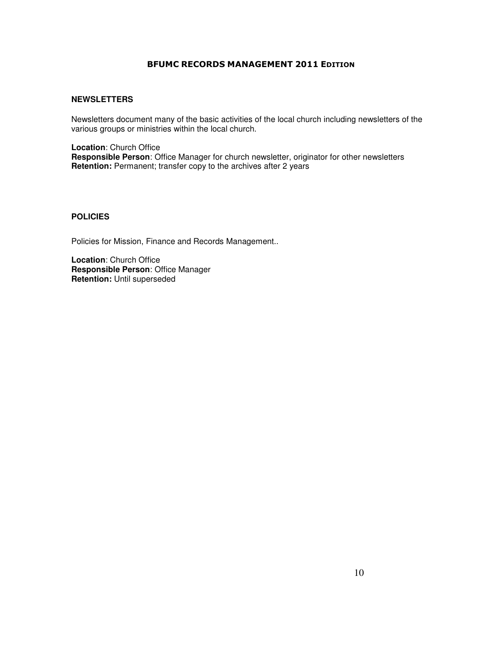### **NEWSLETTERS**

Newsletters document many of the basic activities of the local church including newsletters of the various groups or ministries within the local church.

**Location**: Church Office **Responsible Person**: Office Manager for church newsletter, originator for other newsletters **Retention:** Permanent; transfer copy to the archives after 2 years

### **POLICIES**

Policies for Mission, Finance and Records Management..

**Location**: Church Office **Responsible Person**: Office Manager **Retention:** Until superseded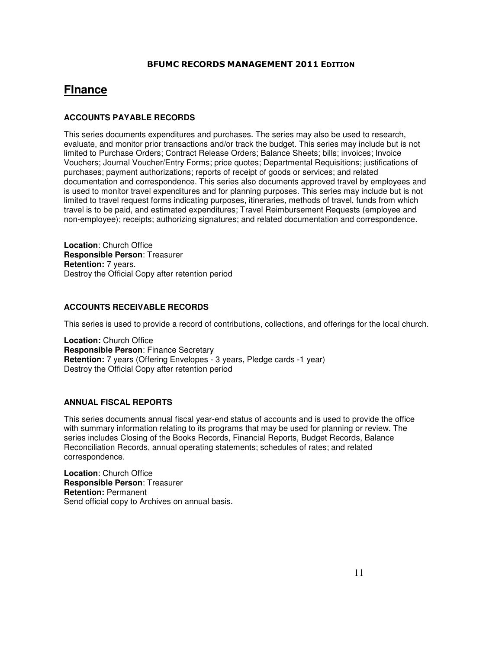## **FInance**

## **ACCOUNTS PAYABLE RECORDS**

This series documents expenditures and purchases. The series may also be used to research, evaluate, and monitor prior transactions and/or track the budget. This series may include but is not limited to Purchase Orders; Contract Release Orders; Balance Sheets; bills; invoices; Invoice Vouchers; Journal Voucher/Entry Forms; price quotes; Departmental Requisitions; justifications of purchases; payment authorizations; reports of receipt of goods or services; and related documentation and correspondence. This series also documents approved travel by employees and is used to monitor travel expenditures and for planning purposes. This series may include but is not limited to travel request forms indicating purposes, itineraries, methods of travel, funds from which travel is to be paid, and estimated expenditures; Travel Reimbursement Requests (employee and non-employee); receipts; authorizing signatures; and related documentation and correspondence.

**Location**: Church Office **Responsible Person**: Treasurer **Retention:** 7 years. Destroy the Official Copy after retention period

## **ACCOUNTS RECEIVABLE RECORDS**

This series is used to provide a record of contributions, collections, and offerings for the local church.

**Location:** Church Office **Responsible Person**: Finance Secretary **Retention:** 7 years (Offering Envelopes - 3 years, Pledge cards -1 year) Destroy the Official Copy after retention period

### **ANNUAL FISCAL REPORTS**

This series documents annual fiscal year-end status of accounts and is used to provide the office with summary information relating to its programs that may be used for planning or review. The series includes Closing of the Books Records, Financial Reports, Budget Records, Balance Reconciliation Records, annual operating statements; schedules of rates; and related correspondence.

**Location**: Church Office **Responsible Person**: Treasurer **Retention:** Permanent Send official copy to Archives on annual basis.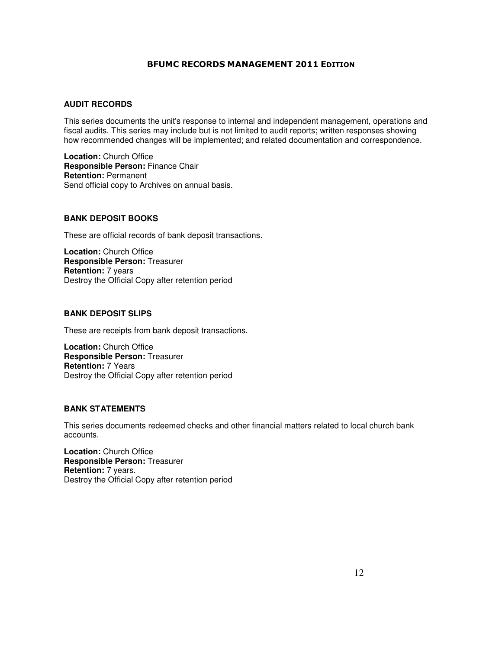### **AUDIT RECORDS**

This series documents the unit's response to internal and independent management, operations and fiscal audits. This series may include but is not limited to audit reports; written responses showing how recommended changes will be implemented; and related documentation and correspondence.

**Location:** Church Office **Responsible Person:** Finance Chair **Retention:** Permanent Send official copy to Archives on annual basis.

#### **BANK DEPOSIT BOOKS**

These are official records of bank deposit transactions.

**Location:** Church Office **Responsible Person:** Treasurer **Retention:** 7 years Destroy the Official Copy after retention period

#### **BANK DEPOSIT SLIPS**

These are receipts from bank deposit transactions.

**Location:** Church Office **Responsible Person:** Treasurer **Retention:** 7 Years Destroy the Official Copy after retention period

#### **BANK STATEMENTS**

This series documents redeemed checks and other financial matters related to local church bank accounts.

**Location:** Church Office **Responsible Person:** Treasurer **Retention:** 7 years. Destroy the Official Copy after retention period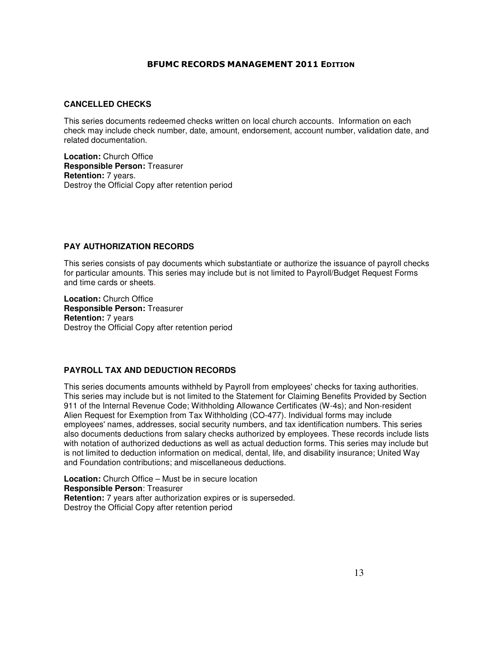### **CANCELLED CHECKS**

This series documents redeemed checks written on local church accounts. Information on each check may include check number, date, amount, endorsement, account number, validation date, and related documentation.

**Location:** Church Office **Responsible Person:** Treasurer **Retention:** 7 years. Destroy the Official Copy after retention period

#### **PAY AUTHORIZATION RECORDS**

This series consists of pay documents which substantiate or authorize the issuance of payroll checks for particular amounts. This series may include but is not limited to Payroll/Budget Request Forms and time cards or sheets.

**Location:** Church Office **Responsible Person:** Treasurer **Retention:** 7 years Destroy the Official Copy after retention period

## **PAYROLL TAX AND DEDUCTION RECORDS**

This series documents amounts withheld by Payroll from employees' checks for taxing authorities. This series may include but is not limited to the Statement for Claiming Benefits Provided by Section 911 of the Internal Revenue Code; Withholding Allowance Certificates (W-4s); and Non-resident Alien Request for Exemption from Tax Withholding (CO-477). Individual forms may include employees' names, addresses, social security numbers, and tax identification numbers. This series also documents deductions from salary checks authorized by employees. These records include lists with notation of authorized deductions as well as actual deduction forms. This series may include but is not limited to deduction information on medical, dental, life, and disability insurance; United Way and Foundation contributions; and miscellaneous deductions.

**Location:** Church Office – Must be in secure location **Responsible Person**: Treasurer **Retention:** 7 years after authorization expires or is superseded. Destroy the Official Copy after retention period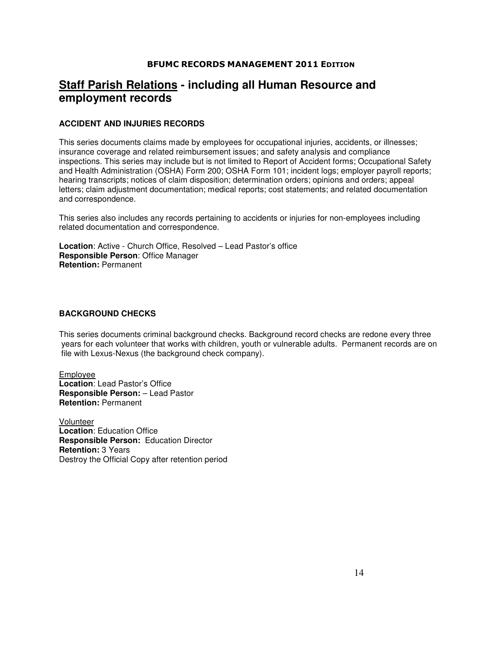## **Staff Parish Relations - including all Human Resource and employment records**

## **ACCIDENT AND INJURIES RECORDS**

This series documents claims made by employees for occupational injuries, accidents, or illnesses; insurance coverage and related reimbursement issues; and safety analysis and compliance inspections. This series may include but is not limited to Report of Accident forms; Occupational Safety and Health Administration (OSHA) Form 200; OSHA Form 101; incident logs; employer payroll reports; hearing transcripts; notices of claim disposition; determination orders; opinions and orders; appeal letters; claim adjustment documentation; medical reports; cost statements; and related documentation and correspondence.

This series also includes any records pertaining to accidents or injuries for non-employees including related documentation and correspondence.

**Location**: Active - Church Office, Resolved – Lead Pastor's office **Responsible Person**: Office Manager **Retention:** Permanent

### **BACKGROUND CHECKS**

This series documents criminal background checks. Background record checks are redone every three years for each volunteer that works with children, youth or vulnerable adults. Permanent records are on file with Lexus-Nexus (the background check company).

Employee **Location**: Lead Pastor's Office **Responsible Person:** – Lead Pastor **Retention:** Permanent

Volunteer **Location**: Education Office **Responsible Person:** Education Director **Retention:** 3 Years Destroy the Official Copy after retention period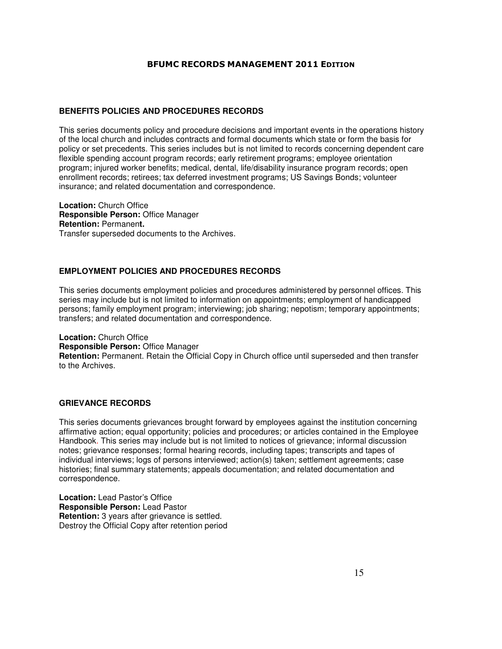## **BENEFITS POLICIES AND PROCEDURES RECORDS**

This series documents policy and procedure decisions and important events in the operations history of the local church and includes contracts and formal documents which state or form the basis for policy or set precedents. This series includes but is not limited to records concerning dependent care flexible spending account program records; early retirement programs; employee orientation program; injured worker benefits; medical, dental, life/disability insurance program records; open enrollment records; retirees; tax deferred investment programs; US Savings Bonds; volunteer insurance; and related documentation and correspondence.

**Location:** Church Office **Responsible Person:** Office Manager **Retention:** Permanen**t.**  Transfer superseded documents to the Archives.

## **EMPLOYMENT POLICIES AND PROCEDURES RECORDS**

This series documents employment policies and procedures administered by personnel offices. This series may include but is not limited to information on appointments; employment of handicapped persons; family employment program; interviewing; job sharing; nepotism; temporary appointments; transfers; and related documentation and correspondence.

**Location:** Church Office **Responsible Person:** Office Manager **Retention:** Permanent. Retain the Official Copy in Church office until superseded and then transfer to the Archives.

### **GRIEVANCE RECORDS**

This series documents grievances brought forward by employees against the institution concerning affirmative action; equal opportunity; policies and procedures; or articles contained in the Employee Handbook. This series may include but is not limited to notices of grievance; informal discussion notes; grievance responses; formal hearing records, including tapes; transcripts and tapes of individual interviews; logs of persons interviewed; action(s) taken; settlement agreements; case histories; final summary statements; appeals documentation; and related documentation and correspondence.

**Location:** Lead Pastor's Office **Responsible Person:** Lead Pastor **Retention:** 3 years after grievance is settled. Destroy the Official Copy after retention period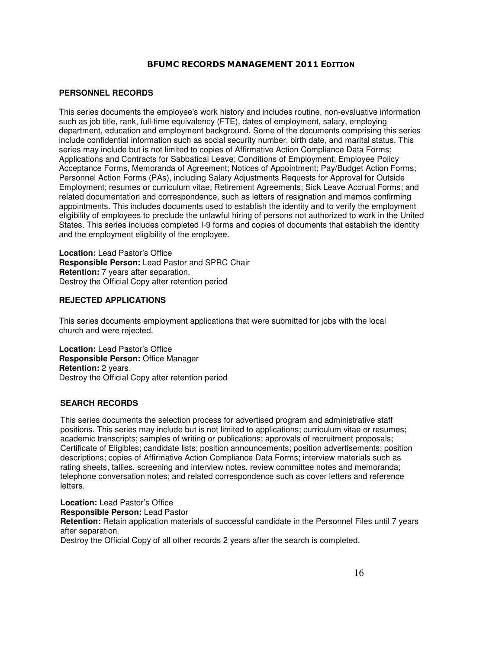### **PERSONNEL RECORDS**

This series documents the employee's work history and includes routine, non-evaluative information such as job title, rank, full-time equivalency (FTE), dates of employment, salary, employing department, education and employment background. Some of the documents comprising this series include confidential information such as social security number, birth date, and marital status. This series may include but is not limited to copies of Affirmative Action Compliance Data Forms; Applications and Contracts for Sabbatical Leave; Conditions of Employment; Employee Policy Acceptance Forms, Memoranda of Agreement; Notices of Appointment; Pay/Budget Action Forms; Personnel Action Forms (PAs), including Salary Adjustments Requests for Approval for Outside Employment; resumes or curriculum vitae; Retirement Agreements; Sick Leave Accrual Forms; and related documentation and correspondence, such as letters of resignation and memos confirming appointments. This includes documents used to establish the identity and to verify the employment eligibility of employees to preclude the unlawful hiring of persons not authorized to work in the United States. This series includes completed I-9 forms and copies of documents that establish the identity and the employment eligibility of the employee.

**Location:** Lead Pastor's Office **Responsible Person:** Lead Pastor and SPRC Chair **Retention:** 7 years after separation. Destroy the Official Copy after retention period

### **REJECTED APPLICATIONS**

This series documents employment applications that were submitted for jobs with the local church and were rejected.

**Location:** Lead Pastor's Office **Responsible Person:** Office Manager **Retention:** 2 years. Destroy the Official Copy after retention period

## **SEARCH RECORDS**

This series documents the selection process for advertised program and administrative staff positions. This series may include but is not limited to applications; curriculum vitae or resumes; academic transcripts; samples of writing or publications; approvals of recruitment proposals; Certificate of Eligibles; candidate lists; position announcements; position advertisements; position descriptions; copies of Affirmative Action Compliance Data Forms; interview materials such as rating sheets, tallies, screening and interview notes, review committee notes and memoranda; telephone conversation notes; and related correspondence such as cover letters and reference letters.

**Location:** Lead Pastor's Office **Responsible Person:** Lead Pastor **Retention:** Retain application materials of successful candidate in the Personnel Files until 7 years after separation. Destroy the Official Copy of all other records 2 years after the search is completed.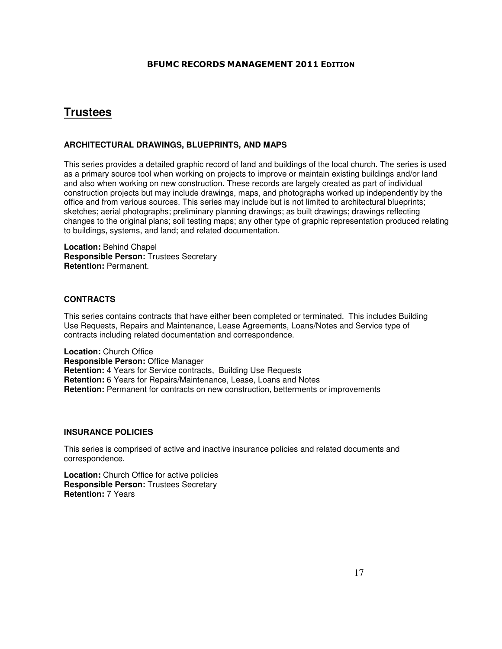## **Trustees**

## **ARCHITECTURAL DRAWINGS, BLUEPRINTS, AND MAPS**

This series provides a detailed graphic record of land and buildings of the local church. The series is used as a primary source tool when working on projects to improve or maintain existing buildings and/or land and also when working on new construction. These records are largely created as part of individual construction projects but may include drawings, maps, and photographs worked up independently by the office and from various sources. This series may include but is not limited to architectural blueprints; sketches; aerial photographs; preliminary planning drawings; as built drawings; drawings reflecting changes to the original plans; soil testing maps; any other type of graphic representation produced relating to buildings, systems, and land; and related documentation.

**Location:** Behind Chapel **Responsible Person:** Trustees Secretary **Retention:** Permanent.

## **CONTRACTS**

This series contains contracts that have either been completed or terminated. This includes Building Use Requests, Repairs and Maintenance, Lease Agreements, Loans/Notes and Service type of contracts including related documentation and correspondence.

**Location:** Church Office **Responsible Person:** Office Manager **Retention:** 4 Years for Service contracts, Building Use Requests **Retention:** 6 Years for Repairs/Maintenance, Lease, Loans and Notes **Retention:** Permanent for contracts on new construction, betterments or improvements

### **INSURANCE POLICIES**

This series is comprised of active and inactive insurance policies and related documents and correspondence.

**Location:** Church Office for active policies **Responsible Person:** Trustees Secretary **Retention:** 7 Years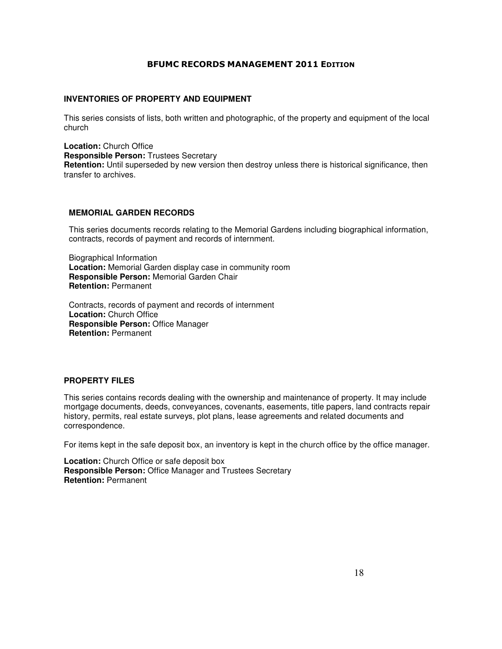### **INVENTORIES OF PROPERTY AND EQUIPMENT**

This series consists of lists, both written and photographic, of the property and equipment of the local church

**Location:** Church Office **Responsible Person:** Trustees Secretary **Retention:** Until superseded by new version then destroy unless there is historical significance, then transfer to archives.

### **MEMORIAL GARDEN RECORDS**

This series documents records relating to the Memorial Gardens including biographical information, contracts, records of payment and records of internment.

Biographical Information **Location:** Memorial Garden display case in community room **Responsible Person:** Memorial Garden Chair **Retention:** Permanent

Contracts, records of payment and records of internment **Location:** Church Office **Responsible Person:** Office Manager **Retention:** Permanent

### **PROPERTY FILES**

This series contains records dealing with the ownership and maintenance of property. It may include mortgage documents, deeds, conveyances, covenants, easements, title papers, land contracts repair history, permits, real estate surveys, plot plans, lease agreements and related documents and correspondence.

For items kept in the safe deposit box, an inventory is kept in the church office by the office manager.

**Location:** Church Office or safe deposit box **Responsible Person:** Office Manager and Trustees Secretary **Retention:** Permanent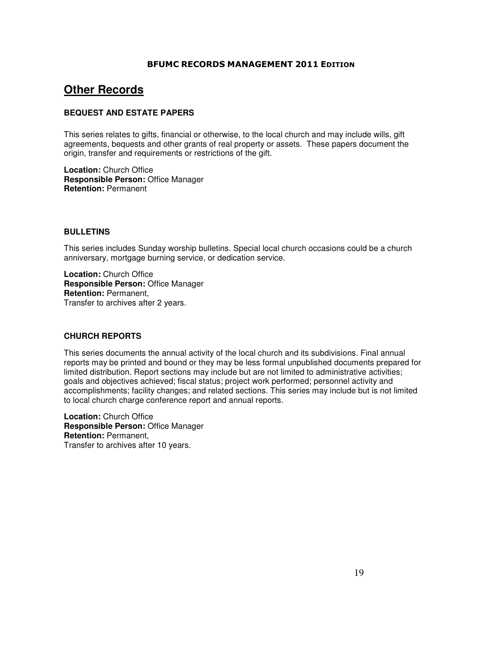## **Other Records**

## **BEQUEST AND ESTATE PAPERS**

This series relates to gifts, financial or otherwise, to the local church and may include wills, gift agreements, bequests and other grants of real property or assets. These papers document the origin, transfer and requirements or restrictions of the gift.

**Location:** Church Office **Responsible Person:** Office Manager **Retention:** Permanent

### **BULLETINS**

This series includes Sunday worship bulletins. Special local church occasions could be a church anniversary, mortgage burning service, or dedication service.

**Location:** Church Office **Responsible Person:** Office Manager **Retention:** Permanent, Transfer to archives after 2 years.

### **CHURCH REPORTS**

This series documents the annual activity of the local church and its subdivisions. Final annual reports may be printed and bound or they may be less formal unpublished documents prepared for limited distribution. Report sections may include but are not limited to administrative activities; goals and objectives achieved; fiscal status; project work performed; personnel activity and accomplishments; facility changes; and related sections. This series may include but is not limited to local church charge conference report and annual reports.

**Location:** Church Office **Responsible Person:** Office Manager **Retention:** Permanent, Transfer to archives after 10 years.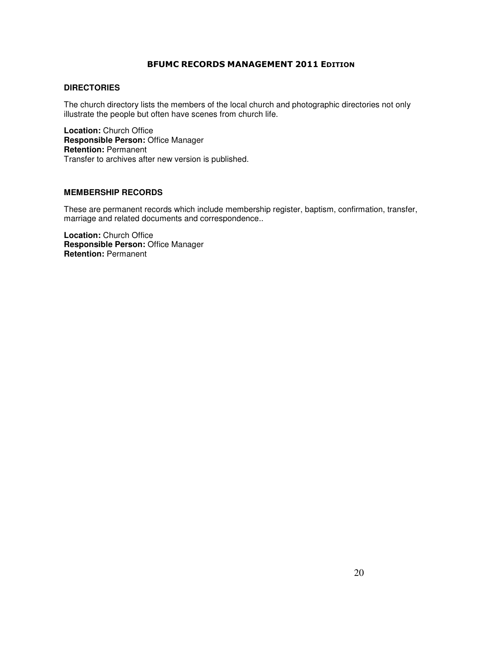## **DIRECTORIES**

The church directory lists the members of the local church and photographic directories not only illustrate the people but often have scenes from church life.

**Location:** Church Office **Responsible Person:** Office Manager **Retention:** Permanent Transfer to archives after new version is published.

### **MEMBERSHIP RECORDS**

These are permanent records which include membership register, baptism, confirmation, transfer, marriage and related documents and correspondence..

**Location:** Church Office **Responsible Person:** Office Manager **Retention:** Permanent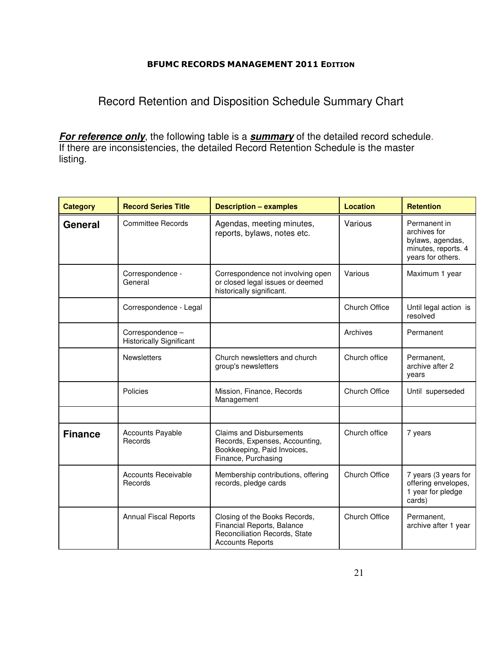Record Retention and Disposition Schedule Summary Chart

**For reference only**, the following table is a **summary** of the detailed record schedule. If there are inconsistencies, the detailed Record Retention Schedule is the master listing.

| <b>Category</b> | <b>Record Series Title</b>                          | <b>Description - examples</b>                                                                                           | <b>Location</b>      | <b>Retention</b>                                                                             |
|-----------------|-----------------------------------------------------|-------------------------------------------------------------------------------------------------------------------------|----------------------|----------------------------------------------------------------------------------------------|
| <b>General</b>  | <b>Committee Records</b>                            | Agendas, meeting minutes,<br>reports, bylaws, notes etc.                                                                | Various              | Permanent in<br>archives for<br>bylaws, agendas,<br>minutes, reports. 4<br>years for others. |
|                 | Correspondence -<br>General                         | Correspondence not involving open<br>or closed legal issues or deemed<br>historically significant.                      | Various              | Maximum 1 year                                                                               |
|                 | Correspondence - Legal                              |                                                                                                                         | <b>Church Office</b> | Until legal action is<br>resolved                                                            |
|                 | Correspondence -<br><b>Historically Significant</b> |                                                                                                                         | Archives             | Permanent                                                                                    |
|                 | Newsletters                                         | Church newsletters and church<br>group's newsletters                                                                    | Church office        | Permanent,<br>archive after 2<br>years                                                       |
|                 | Policies                                            | Mission, Finance, Records<br>Management                                                                                 | <b>Church Office</b> | Until superseded                                                                             |
|                 |                                                     |                                                                                                                         |                      |                                                                                              |
| <b>Finance</b>  | <b>Accounts Payable</b><br>Records                  | <b>Claims and Disbursements</b><br>Records, Expenses, Accounting,<br>Bookkeeping, Paid Invoices,<br>Finance, Purchasing | Church office        | 7 years                                                                                      |
|                 | <b>Accounts Receivable</b><br>Records               | Membership contributions, offering<br>records, pledge cards                                                             | <b>Church Office</b> | 7 years (3 years for<br>offering envelopes,<br>1 year for pledge<br>cards)                   |
|                 | <b>Annual Fiscal Reports</b>                        | Closing of the Books Records,<br>Financial Reports, Balance<br>Reconciliation Records, State<br><b>Accounts Reports</b> | <b>Church Office</b> | Permanent,<br>archive after 1 year                                                           |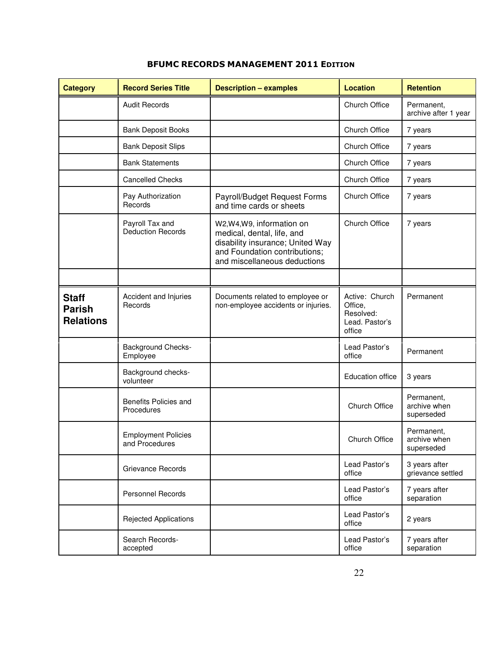| <b>Category</b>                                   | <b>Record Series Title</b>                   | <b>Description - examples</b>                                                                                                                               | <b>Location</b>                                                    | <b>Retention</b>                         |
|---------------------------------------------------|----------------------------------------------|-------------------------------------------------------------------------------------------------------------------------------------------------------------|--------------------------------------------------------------------|------------------------------------------|
|                                                   | <b>Audit Records</b>                         |                                                                                                                                                             | <b>Church Office</b>                                               | Permanent,<br>archive after 1 year       |
|                                                   | <b>Bank Deposit Books</b>                    |                                                                                                                                                             | Church Office                                                      | 7 years                                  |
|                                                   | <b>Bank Deposit Slips</b>                    |                                                                                                                                                             | <b>Church Office</b>                                               | 7 years                                  |
|                                                   | <b>Bank Statements</b>                       |                                                                                                                                                             | <b>Church Office</b>                                               | 7 years                                  |
|                                                   | <b>Cancelled Checks</b>                      |                                                                                                                                                             | Church Office                                                      | 7 years                                  |
|                                                   | Pay Authorization<br>Records                 | Payroll/Budget Request Forms<br>and time cards or sheets                                                                                                    | Church Office                                                      | 7 years                                  |
|                                                   | Payroll Tax and<br><b>Deduction Records</b>  | W2,W4,W9, information on<br>medical, dental, life, and<br>disability insurance; United Way<br>and Foundation contributions;<br>and miscellaneous deductions | Church Office                                                      | 7 years                                  |
|                                                   |                                              |                                                                                                                                                             |                                                                    |                                          |
| <b>Staff</b><br><b>Parish</b><br><b>Relations</b> | Accident and Injuries<br>Records             | Documents related to employee or<br>non-employee accidents or injuries.                                                                                     | Active: Church<br>Office,<br>Resolved:<br>Lead. Pastor's<br>office | Permanent                                |
|                                                   | <b>Background Checks-</b><br>Employee        |                                                                                                                                                             | Lead Pastor's<br>office                                            | Permanent                                |
|                                                   | Background checks-<br>volunteer              |                                                                                                                                                             | <b>Education office</b>                                            | 3 years                                  |
|                                                   | Benefits Policies and<br>Procedures          |                                                                                                                                                             | Church Office                                                      | Permanent,<br>archive when<br>superseded |
|                                                   | <b>Employment Policies</b><br>and Procedures |                                                                                                                                                             | Church Office                                                      | Permanent,<br>archive when<br>superseded |
|                                                   | Grievance Records                            |                                                                                                                                                             | Lead Pastor's<br>office                                            | 3 years after<br>grievance settled       |
|                                                   | Personnel Records                            |                                                                                                                                                             | Lead Pastor's<br>office                                            | 7 years after<br>separation              |
|                                                   | <b>Rejected Applications</b>                 |                                                                                                                                                             | Lead Pastor's<br>office                                            | 2 years                                  |
|                                                   | Search Records-<br>accepted                  |                                                                                                                                                             | Lead Pastor's<br>office                                            | 7 years after<br>separation              |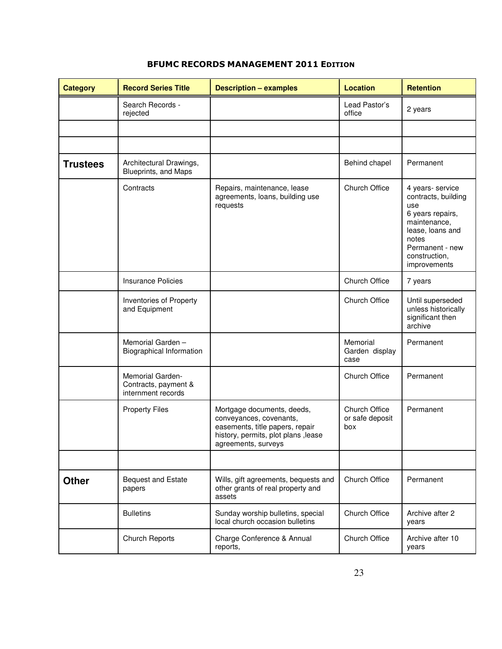| <b>Category</b> | <b>Record Series Title</b>                                     | <b>Description - examples</b>                                                                                                                           | <b>Location</b>                         | <b>Retention</b>                                                                                                                                                    |
|-----------------|----------------------------------------------------------------|---------------------------------------------------------------------------------------------------------------------------------------------------------|-----------------------------------------|---------------------------------------------------------------------------------------------------------------------------------------------------------------------|
|                 | Search Records -<br>rejected                                   |                                                                                                                                                         | Lead Pastor's<br>office                 | 2 years                                                                                                                                                             |
|                 |                                                                |                                                                                                                                                         |                                         |                                                                                                                                                                     |
|                 |                                                                |                                                                                                                                                         |                                         |                                                                                                                                                                     |
| <b>Trustees</b> | Architectural Drawings,<br>Blueprints, and Maps                |                                                                                                                                                         | Behind chapel                           | Permanent                                                                                                                                                           |
|                 | Contracts                                                      | Repairs, maintenance, lease<br>agreements, loans, building use<br>requests                                                                              | Church Office                           | 4 years- service<br>contracts, building<br>use<br>6 years repairs,<br>maintenance,<br>lease, loans and<br>notes<br>Permanent - new<br>construction,<br>improvements |
|                 | <b>Insurance Policies</b>                                      |                                                                                                                                                         | Church Office                           | 7 years                                                                                                                                                             |
|                 | Inventories of Property<br>and Equipment                       |                                                                                                                                                         | Church Office                           | Until superseded<br>unless historically<br>significant then<br>archive                                                                                              |
|                 | Memorial Garden-<br>Biographical Information                   |                                                                                                                                                         | Memorial<br>Garden display<br>case      | Permanent                                                                                                                                                           |
|                 | Memorial Garden-<br>Contracts, payment &<br>internment records |                                                                                                                                                         | Church Office                           | Permanent                                                                                                                                                           |
|                 | <b>Property Files</b>                                          | Mortgage documents, deeds,<br>conveyances, covenants,<br>easements, title papers, repair<br>history, permits, plot plans , lease<br>agreements, surveys | Church Office<br>or safe deposit<br>box | Permanent                                                                                                                                                           |
|                 |                                                                |                                                                                                                                                         |                                         |                                                                                                                                                                     |
| <b>Other</b>    | <b>Bequest and Estate</b><br>papers                            | Wills, gift agreements, bequests and<br>other grants of real property and<br>assets                                                                     | Church Office                           | Permanent                                                                                                                                                           |
|                 | <b>Bulletins</b>                                               | Sunday worship bulletins, special<br>local church occasion bulletins                                                                                    | Church Office                           | Archive after 2<br>years                                                                                                                                            |
|                 | Church Reports                                                 | Charge Conference & Annual<br>reports,                                                                                                                  | Church Office                           | Archive after 10<br>years                                                                                                                                           |